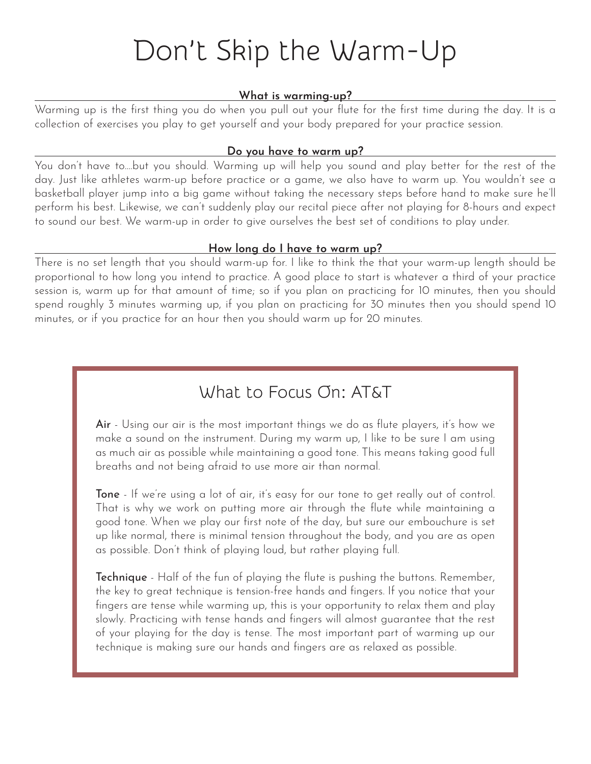# Don't Skip the Warm-Up

#### **What is warming-up?**

Warming up is the first thing you do when you pull out your flute for the first time during the day. It is a collection of exercises you play to get yourself and your body prepared for your practice session.

#### **Do you have to warm up?**

You don't have to....but you should. Warming up will help you sound and play better for the rest of the day. Just like athletes warm-up before practice or a game, we also have to warm up. You wouldn't see a basketball player jump into a big game without taking the necessary steps before hand to make sure he'll perform his best. Likewise, we can't suddenly play our recital piece after not playing for 8-hours and expect to sound our best. We warm-up in order to give ourselves the best set of conditions to play under.

#### **How long do I have to warm up?**

There is no set length that you should warm-up for. I like to think the that your warm-up length should be proportional to how long you intend to practice. A good place to start is whatever a third of your practice session is, warm up for that amount of time; so if you plan on practicing for 10 minutes, then you should spend roughly 3 minutes warming up, if you plan on practicing for 30 minutes then you should spend 10 minutes, or if you practice for an hour then you should warm up for 20 minutes.

### What to Focus On: AT&T

Air - Using our air is the most important things we do as flute players, it's how we make a sound on the instrument. During my warm up, I like to be sure I am using as much air as possible while maintaining a good tone. This means taking good full breaths and not being afraid to use more air than normal.

Tone - If we're using a lot of air, it's easy for our tone to get really out of control. That is why we work on putting more air through the flute while maintaining a good tone. When we play our first note of the day, but sure our embouchure is set up like normal, there is minimal tension throughout the body, and you are as open as possible. Don't think of playing loud, but rather playing full.

**Technique** - Half of the fun of playing the flute is pushing the buttons. Remember, the key to great technique is tension-free hands and fingers. If you notice that your fingers are tense while warming up, this is your opportunity to relax them and play slowly. Practicing with tense hands and fingers will almost guarantee that the rest of your playing for the day is tense. The most important part of warming up our technique is making sure our hands and fingers are as relaxed as possible.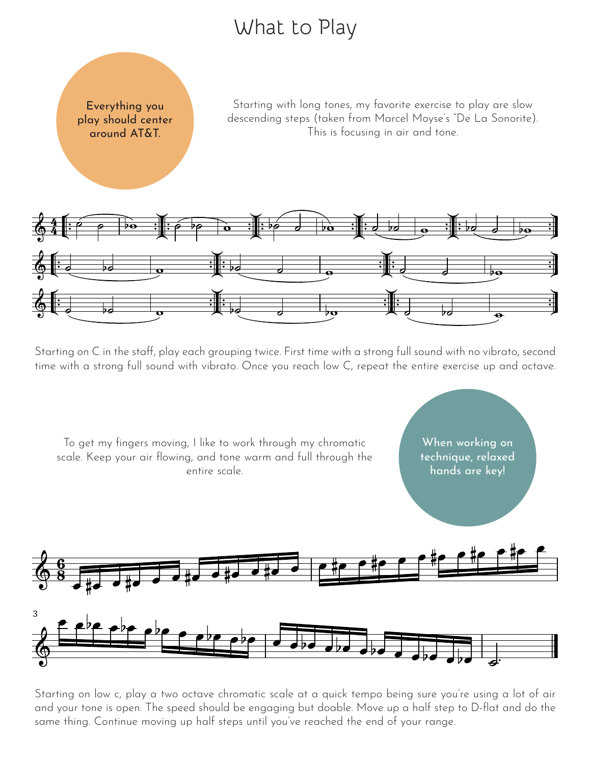## What to Play



Starting with long tones, my favorite exercise to play are slow descending steps (taken from Marcel Moyse's "De La Sonorite). This is focusing in air and tone.



Starting on C in the staff, play each grouping twice. First time with a strong full sound with no vibrato, second time with a strong full sound with vibrato. Once you reach low C, repeat the entire exercise up and octave.



Starting on low c, play a two octave chromatic scale at a quick tempo being sure you're using a lot of air and your tone is open. The speed should be engaging but doable. Move up a half step to D-flat and do the same thing. Continue moving up half steps until you've reached the end of your range.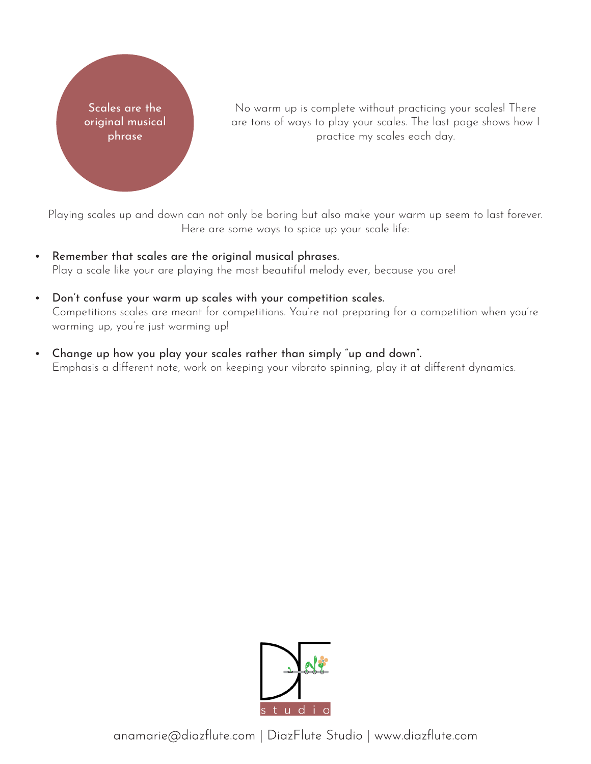

No warm up is complete without practicing your scales! There are tons of ways to play your scales. The last page shows how I practice my scales each day.

Playing scales up and down can not only be boring but also make your warm up seem to last forever. Here are some ways to spice up your scale life:

- Remember that scales are the original musical phrases. Play a scale like your are playing the most beautiful melody ever, because you are!
- Don't confuse your warm up scales with your competition scales. Competitions scales are meant for competitions. You're not preparing for a competition when you're warming up, you're just warming up!
- Change up how you play your scales rather than simply "up and down". Emphasis a different note, work on keeping your vibrato spinning, play it at different dynamics.